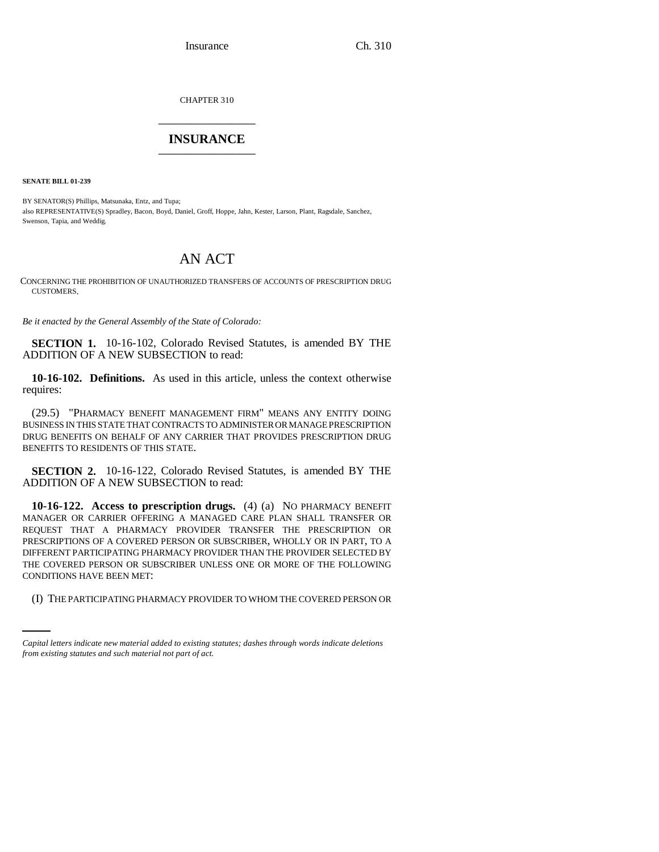Insurance Ch. 310

CHAPTER 310 \_\_\_\_\_\_\_\_\_\_\_\_\_\_\_

## **INSURANCE** \_\_\_\_\_\_\_\_\_\_\_\_\_\_\_

**SENATE BILL 01-239**

BY SENATOR(S) Phillips, Matsunaka, Entz, and Tupa; also REPRESENTATIVE(S) Spradley, Bacon, Boyd, Daniel, Groff, Hoppe, Jahn, Kester, Larson, Plant, Ragsdale, Sanchez, Swenson, Tapia, and Weddig.

## AN ACT

CONCERNING THE PROHIBITION OF UNAUTHORIZED TRANSFERS OF ACCOUNTS OF PRESCRIPTION DRUG CUSTOMERS.

*Be it enacted by the General Assembly of the State of Colorado:*

**SECTION 1.** 10-16-102, Colorado Revised Statutes, is amended BY THE ADDITION OF A NEW SUBSECTION to read:

**10-16-102. Definitions.** As used in this article, unless the context otherwise requires:

(29.5) "PHARMACY BENEFIT MANAGEMENT FIRM" MEANS ANY ENTITY DOING BUSINESS IN THIS STATE THAT CONTRACTS TO ADMINISTER OR MANAGE PRESCRIPTION DRUG BENEFITS ON BEHALF OF ANY CARRIER THAT PROVIDES PRESCRIPTION DRUG BENEFITS TO RESIDENTS OF THIS STATE.

**SECTION 2.** 10-16-122, Colorado Revised Statutes, is amended BY THE ADDITION OF A NEW SUBSECTION to read:

CONDITIONS HAVE BEEN MET: **10-16-122. Access to prescription drugs.** (4) (a) NO PHARMACY BENEFIT MANAGER OR CARRIER OFFERING A MANAGED CARE PLAN SHALL TRANSFER OR REQUEST THAT A PHARMACY PROVIDER TRANSFER THE PRESCRIPTION OR PRESCRIPTIONS OF A COVERED PERSON OR SUBSCRIBER, WHOLLY OR IN PART, TO A DIFFERENT PARTICIPATING PHARMACY PROVIDER THAN THE PROVIDER SELECTED BY THE COVERED PERSON OR SUBSCRIBER UNLESS ONE OR MORE OF THE FOLLOWING

(I) THE PARTICIPATING PHARMACY PROVIDER TO WHOM THE COVERED PERSON OR

*Capital letters indicate new material added to existing statutes; dashes through words indicate deletions from existing statutes and such material not part of act.*